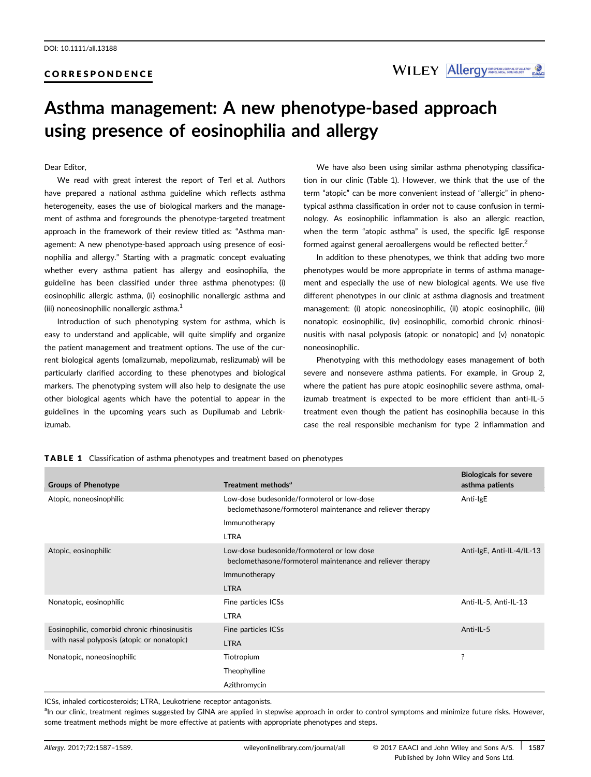### CORRESPONDENCE

WILEY Allergy MORECLERY ENGINEERING

# Asthma management: A new phenotype-based approach using presence of eosinophilia and allergy

### Dear Editor,

We read with great interest the report of Terl et al. Authors have prepared a national asthma guideline which reflects asthma heterogeneity, eases the use of biological markers and the management of asthma and foregrounds the phenotype-targeted treatment approach in the framework of their review titled as: "Asthma management: A new phenotype-based approach using presence of eosinophilia and allergy." Starting with a pragmatic concept evaluating whether every asthma patient has allergy and eosinophilia, the guideline has been classified under three asthma phenotypes: (i) eosinophilic allergic asthma, (ii) eosinophilic nonallergic asthma and (iii) noneosinophilic nonallergic asthma.<sup>1</sup>

Introduction of such phenotyping system for asthma, which is easy to understand and applicable, will quite simplify and organize the patient management and treatment options. The use of the current biological agents (omalizumab, mepolizumab, reslizumab) will be particularly clarified according to these phenotypes and biological markers. The phenotyping system will also help to designate the use other biological agents which have the potential to appear in the guidelines in the upcoming years such as Dupilumab and Lebrikizumab.

We have also been using similar asthma phenotyping classification in our clinic (Table 1). However, we think that the use of the term "atopic" can be more convenient instead of "allergic" in phenotypical asthma classification in order not to cause confusion in terminology. As eosinophilic inflammation is also an allergic reaction, when the term "atopic asthma" is used, the specific IgE response formed against general aeroallergens would be reflected better.<sup>2</sup>

In addition to these phenotypes, we think that adding two more phenotypes would be more appropriate in terms of asthma management and especially the use of new biological agents. We use five different phenotypes in our clinic at asthma diagnosis and treatment management: (i) atopic noneosinophilic, (ii) atopic eosinophilic, (iii) nonatopic eosinophilic, (iv) eosinophilic, comorbid chronic rhinosinusitis with nasal polyposis (atopic or nonatopic) and (v) nonatopic noneosinophilic.

Phenotyping with this methodology eases management of both severe and nonsevere asthma patients. For example, in Group 2, where the patient has pure atopic eosinophilic severe asthma, omalizumab treatment is expected to be more efficient than anti-IL-5 treatment even though the patient has eosinophilia because in this case the real responsible mechanism for type 2 inflammation and

| Groups of Phenotype                                                                         | Treatment methods <sup>a</sup>                                                                           | <b>Biologicals for severe</b><br>asthma patients |
|---------------------------------------------------------------------------------------------|----------------------------------------------------------------------------------------------------------|--------------------------------------------------|
| Atopic, noneosinophilic                                                                     | Low-dose budesonide/formoterol or low-dose<br>beclomethasone/formoterol maintenance and reliever therapy | Anti-IgE                                         |
|                                                                                             | Immunotherapy                                                                                            |                                                  |
|                                                                                             | <b>LTRA</b>                                                                                              |                                                  |
| Atopic, eosinophilic                                                                        | Low-dose budesonide/formoterol or low dose<br>beclomethasone/formoterol maintenance and reliever therapy | Anti-IgE, Anti-IL-4/IL-13                        |
|                                                                                             | Immunotherapy                                                                                            |                                                  |
|                                                                                             | <b>LTRA</b>                                                                                              |                                                  |
| Nonatopic, eosinophilic                                                                     | Fine particles ICSs                                                                                      | Anti-IL-5, Anti-IL-13                            |
|                                                                                             | <b>LTRA</b>                                                                                              |                                                  |
| Eosinophilic, comorbid chronic rhinosinusitis<br>with nasal polyposis (atopic or nonatopic) | Fine particles ICSs                                                                                      | Anti-IL-5                                        |
|                                                                                             | <b>LTRA</b>                                                                                              |                                                  |
| Nonatopic, noneosinophilic                                                                  | Tiotropium                                                                                               | ?                                                |
|                                                                                             | Theophylline                                                                                             |                                                  |
|                                                                                             | Azithromycin                                                                                             |                                                  |

TABLE 1 Classification of asthma phenotypes and treatment based on phenotypes

ICSs, inhaled corticosteroids; LTRA, Leukotriene receptor antagonists.

an our clinic, treatment regimes suggested by GINA are applied in stepwise approach in order to control symptoms and minimize future risks. However, some treatment methods might be more effective at patients with appropriate phenotypes and steps.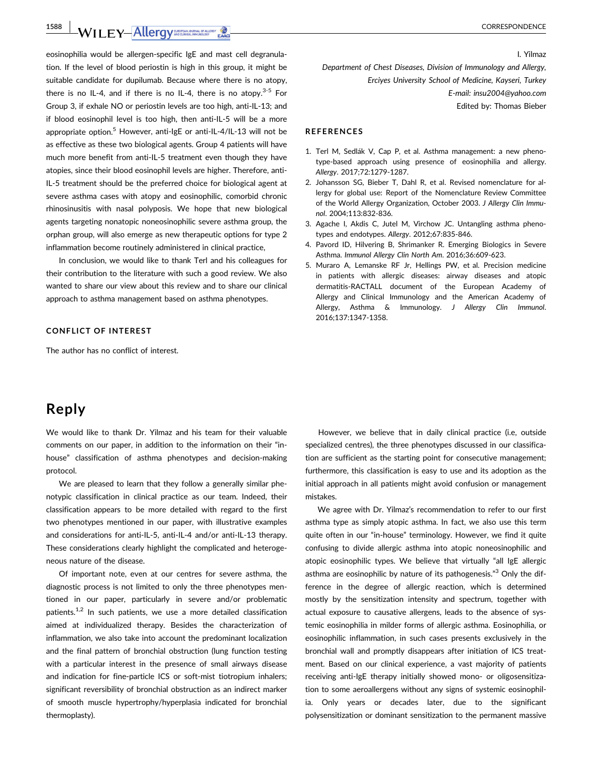1588 | CORRESPONDENCE

eosinophilia would be allergen-specific IgE and mast cell degranulation. If the level of blood periostin is high in this group, it might be suitable candidate for dupilumab. Because where there is no atopy, there is no IL-4, and if there is no IL-4, there is no atopy.<sup>3-5</sup> For Group 3, if exhale NO or periostin levels are too high, anti-IL-13; and if blood eosinophil level is too high, then anti-IL-5 will be a more appropriate option.<sup>5</sup> However, anti-IgE or anti-IL-4/IL-13 will not be as effective as these two biological agents. Group 4 patients will have much more benefit from anti-IL-5 treatment even though they have atopies, since their blood eosinophil levels are higher. Therefore, anti-IL-5 treatment should be the preferred choice for biological agent at severe asthma cases with atopy and eosinophilic, comorbid chronic rhinosinusitis with nasal polyposis. We hope that new biological agents targeting nonatopic noneosinophilic severe asthma group, the orphan group, will also emerge as new therapeutic options for type 2 inflammation become routinely administered in clinical practice,

In conclusion, we would like to thank Terl and his colleagues for their contribution to the literature with such a good review. We also wanted to share our view about this review and to share our clinical approach to asthma management based on asthma phenotypes.

### CONFLICT OF INTEREST

The author has no conflict of interest.

# Reply

We would like to thank Dr. Yilmaz and his team for their valuable comments on our paper, in addition to the information on their "inhouse" classification of asthma phenotypes and decision-making protocol.

We are pleased to learn that they follow a generally similar phenotypic classification in clinical practice as our team. Indeed, their classification appears to be more detailed with regard to the first two phenotypes mentioned in our paper, with illustrative examples and considerations for anti-IL-5, anti-IL-4 and/or anti-IL-13 therapy. These considerations clearly highlight the complicated and heterogeneous nature of the disease.

Of important note, even at our centres for severe asthma, the diagnostic process is not limited to only the three phenotypes mentioned in our paper, particularly in severe and/or problematic patients. $1,2}$  In such patients, we use a more detailed classification aimed at individualized therapy. Besides the characterization of inflammation, we also take into account the predominant localization and the final pattern of bronchial obstruction (lung function testing with a particular interest in the presence of small airways disease and indication for fine-particle ICS or soft-mist tiotropium inhalers; significant reversibility of bronchial obstruction as an indirect marker of smooth muscle hypertrophy/hyperplasia indicated for bronchial thermoplasty).

I. Yilmaz

Department of Chest Diseases, Division of Immunology and Allergy, Erciyes University School of Medicine, Kayseri, Turkey E-mail: insu2004@yahoo.com Edited by: Thomas Bieber

### **REFERENCES**

- 1. Terl M, Sedlák V, Cap P, et al. Asthma management: a new phenotype-based approach using presence of eosinophilia and allergy. Allergy. 2017;72:1279-1287.
- 2. Johansson SG, Bieber T, Dahl R, et al. Revised nomenclature for allergy for global use: Report of the Nomenclature Review Committee of the World Allergy Organization, October 2003. J Allergy Clin Immunol. 2004;113:832-836.
- 3. Agache I, Akdis C, Jutel M, Virchow JC. Untangling asthma phenotypes and endotypes. Allergy. 2012;67:835-846.
- 4. Pavord ID, Hilvering B, Shrimanker R. Emerging Biologics in Severe Asthma. Immunol Allergy Clin North Am. 2016;36:609-623.
- 5. Muraro A, Lemanske RF Jr, Hellings PW, et al. Precision medicine in patients with allergic diseases: airway diseases and atopic dermatitis-RACTALL document of the European Academy of Allergy and Clinical Immunology and the American Academy of Allergy, Asthma & Immunology. J Allergy Clin Immunol. 2016;137:1347-1358.

However, we believe that in daily clinical practice (i.e, outside specialized centres), the three phenotypes discussed in our classification are sufficient as the starting point for consecutive management; furthermore, this classification is easy to use and its adoption as the initial approach in all patients might avoid confusion or management mistakes.

We agree with Dr. Yilmaz's recommendation to refer to our first asthma type as simply atopic asthma. In fact, we also use this term quite often in our "in-house" terminology. However, we find it quite confusing to divide allergic asthma into atopic noneosinophilic and atopic eosinophilic types. We believe that virtually "all IgE allergic asthma are eosinophilic by nature of its pathogenesis."<sup>3</sup> Only the difference in the degree of allergic reaction, which is determined mostly by the sensitization intensity and spectrum, together with actual exposure to causative allergens, leads to the absence of systemic eosinophilia in milder forms of allergic asthma. Eosinophilia, or eosinophilic inflammation, in such cases presents exclusively in the bronchial wall and promptly disappears after initiation of ICS treatment. Based on our clinical experience, a vast majority of patients receiving anti-IgE therapy initially showed mono- or oligosensitization to some aeroallergens without any signs of systemic eosinophilia. Only years or decades later, due to the significant polysensitization or dominant sensitization to the permanent massive